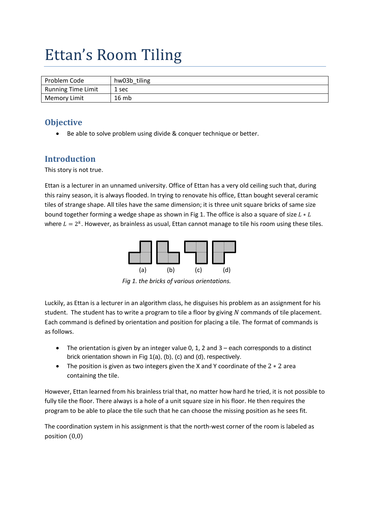# Ettan's Room Tiling

| Problem Code              | hw03b tiling |
|---------------------------|--------------|
| <b>Running Time Limit</b> | 1 sec        |
| <b>Memory Limit</b>       | 16mb         |

## **Objective**

Be able to solve problem using divide & conquer technique or better.

# **Introduction**

This story is not true.

Ettan is a lecturer in an unnamed university. Office of Ettan has a very old ceiling such that, during this rainy season, it is always flooded. In trying to renovate his office, Ettan bought several ceramic tiles of strange shape. All tiles have the same dimension; it is three unit square bricks of same size bound together forming a wedge shape as shown in Fig 1. The office is also a square of size  $L * L$ where  $L = 2<sup>k</sup>$ . However, as brainless as usual, Ettan cannot manage to tile his room using these tiles.



*Fig 1. the bricks of various orientations.*

Luckily, as Ettan is a lecturer in an algorithm class, he disguises his problem as an assignment for his student. The student has to write a program to tile a floor by giving  $N$  commands of tile placement. Each command is defined by orientation and position for placing a tile. The format of commands is as follows.

- The orientation is given by an integer value 0, 1, 2 and 3 each corresponds to a distinct brick orientation shown in Fig 1(a), (b), (c) and (d), respectively.
- The position is given as two integers given the X and Y coordinate of the  $2 \times 2$  area containing the tile.

However, Ettan learned from his brainless trial that, no matter how hard he tried, it is not possible to fully tile the floor. There always is a hole of a unit square size in his floor. He then requires the program to be able to place the tile such that he can choose the missing position as he sees fit.

The coordination system in his assignment is that the north-west corner of the room is labeled as position  $(0,0)$